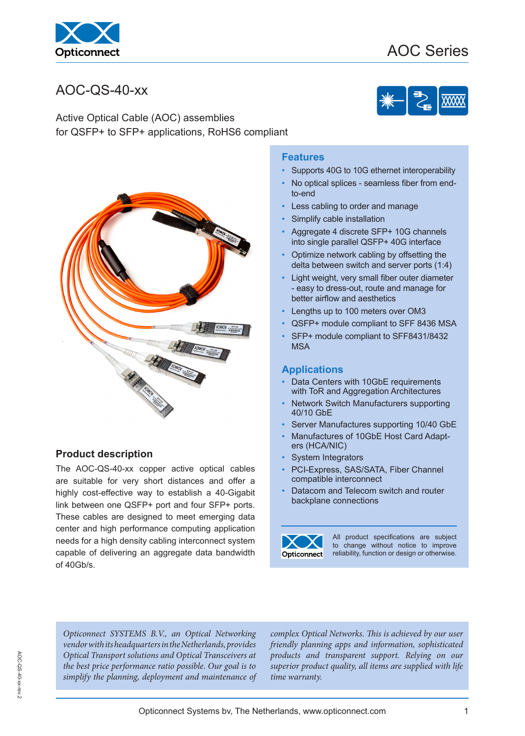

# AOC Series

# AOC-QS-40-xx

Active Optical Cable (AOC) assemblies for QSFP+ to SFP+ applications, RoHS6 compliant



### **Product description**

The AOC-QS-40-xx copper active optical cables are suitable for very short distances and offer a highly cost-effective way to establish a 40-Gigabit link between one QSFP+ port and four SFP+ ports. These cables are designed to meet emerging data center and high performance computing application needs for a high density cabling interconnect system capable of delivering an aggregate data bandwidth of 40Gb/s.

#### **Features**

- Supports 40G to 10G ethernet interoperability
- No optical splices seamless fiber from endto-end
- Less cabling to order and manage
- Simplify cable installation
- Aggregate 4 discrete SFP+ 10G channels into single parallel QSFP+ 40G interface
- Optimize network cabling by offsetting the delta between switch and server ports (1:4)
- Light weight, very small fiber outer diameter - easy to dress-out, route and manage for better airflow and aesthetics
- Lengths up to 100 meters over OM3
- QSFP+ module compliant to SFF 8436 MSA
- SFP+ module compliant to SFF8431/8432 **MSA**

#### **Applications**

- Data Centers with 10GbE requirements with ToR and Aggregation Architectures
- Network Switch Manufacturers supporting 40/10 GbE
- Server Manufactures supporting 10/40 GbE
- Manufactures of 10GbE Host Card Adapters (HCA/NIC)
- System Integrators
- PCI-Express, SAS/SATA, Fiber Channel compatible interconnect
- Datacom and Telecom switch and router backplane connections



All product specifications are subject to change without notice to improve reliability, function or design or otherwise.

*Opticonnect SYSTEMS B.V., an Optical Networking vendor with its headquarters in the Netherlands, provides Optical Transport solutions and Optical Transceivers at the best price performance ratio possible. Our goal is to simplify the planning, deployment and maintenance of* 

*complex Optical Networks. This is achieved by our user friendly planning apps and information, sophisticated products and transparent support. Relying on our superior product quality, all items are supplied with life time warranty.*

Opticonnect Systems bv, The Netherlands, www.opticonnect.com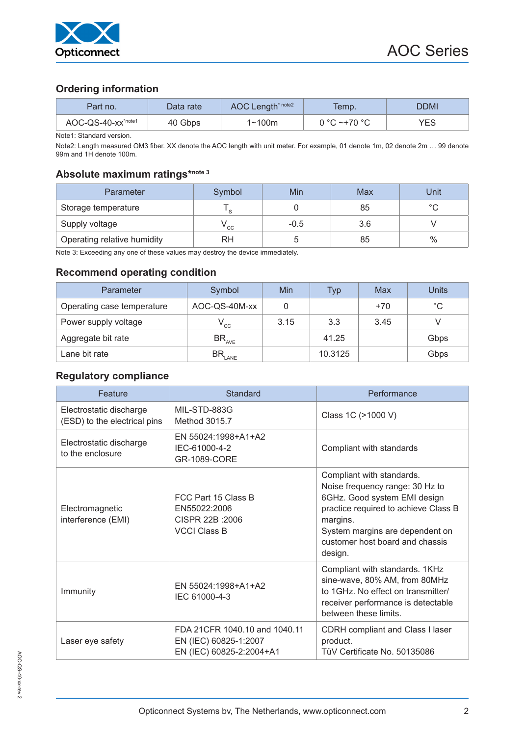

### **Ordering information**

| Part no.                       | Data rate | AOC Length <sup>* note2</sup> | Temp.        | DDMI       |
|--------------------------------|-----------|-------------------------------|--------------|------------|
| AOC-QS-40-xx <sup>*note1</sup> | 40 Gbps   | 1∼100m                        | 0 °C ~+70 °C | <b>YES</b> |

Note1: Standard version.

Note2: Length measured OM3 fiber. XX denote the AOC length with unit meter. For example, 01 denote 1m, 02 denote 2m … 99 denote 99m and 1H denote 100m.

# **Absolute maximum ratings\*note 3**

| Parameter                   | Symbol | Min    | Max | Unit    |
|-----------------------------|--------|--------|-----|---------|
| Storage temperature         | $\sim$ |        | 85  | $\circ$ |
| Supply voltage              | ' cc   | $-0.5$ | 3.6 |         |
| Operating relative humidity | RH     |        | 85  | $\%$    |

Note 3: Exceeding any one of these values may destroy the device immediately.

#### **Recommend operating condition**

| Parameter                  | Symbol                     | Min  | Typ     | Max   | Units       |
|----------------------------|----------------------------|------|---------|-------|-------------|
| Operating case temperature | AOC-QS-40M-xx              |      |         | $+70$ | $^{\circ}C$ |
| Power supply voltage       | $\mathsf{v}_{\mathrm{cc}}$ | 3.15 | 3.3     | 3.45  |             |
| Aggregate bit rate         | $BR_{AVE}$                 |      | 41.25   |       | Gbps        |
| Lane bit rate              | $\text{BR}_{\text{LANE}}$  |      | 10.3125 |       | Gbps        |

## **Regulatory compliance**

| Feature                                                 | Standard                                                                           | Performance                                                                                                                                                                                                                       |
|---------------------------------------------------------|------------------------------------------------------------------------------------|-----------------------------------------------------------------------------------------------------------------------------------------------------------------------------------------------------------------------------------|
| Electrostatic discharge<br>(ESD) to the electrical pins | MIL-STD-883G<br>Method 3015.7                                                      | Class 1C (>1000 V)                                                                                                                                                                                                                |
| Electrostatic discharge<br>to the enclosure             | EN 55024:1998+A1+A2<br>IEC-61000-4-2<br>GR-1089-CORE                               | Compliant with standards                                                                                                                                                                                                          |
| Electromagnetic<br>interference (EMI)                   | FCC Part 15 Class B<br>EN55022:2006<br>CISPR 22B : 2006<br><b>VCCI Class B</b>     | Compliant with standards.<br>Noise frequency range: 30 Hz to<br>6GHz. Good system EMI design<br>practice required to achieve Class B<br>margins.<br>System margins are dependent on<br>customer host board and chassis<br>design. |
| Immunity                                                | EN 55024:1998+A1+A2<br>IEC 61000-4-3                                               | Compliant with standards. 1KHz<br>sine-wave, 80% AM, from 80MHz<br>to 1GHz. No effect on transmitter/<br>receiver performance is detectable<br>between these limits.                                                              |
| Laser eye safety                                        | FDA 21CFR 1040.10 and 1040.11<br>EN (IEC) 60825-1:2007<br>EN (IEC) 60825-2:2004+A1 | CDRH compliant and Class I laser<br>product.<br>TüV Certificate No. 50135086                                                                                                                                                      |